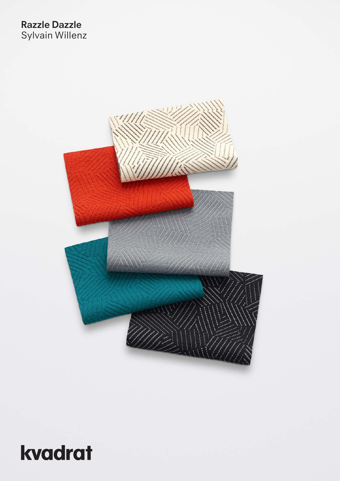## **Razzle Dazzle** Sylvain Willenz



# kvadrat